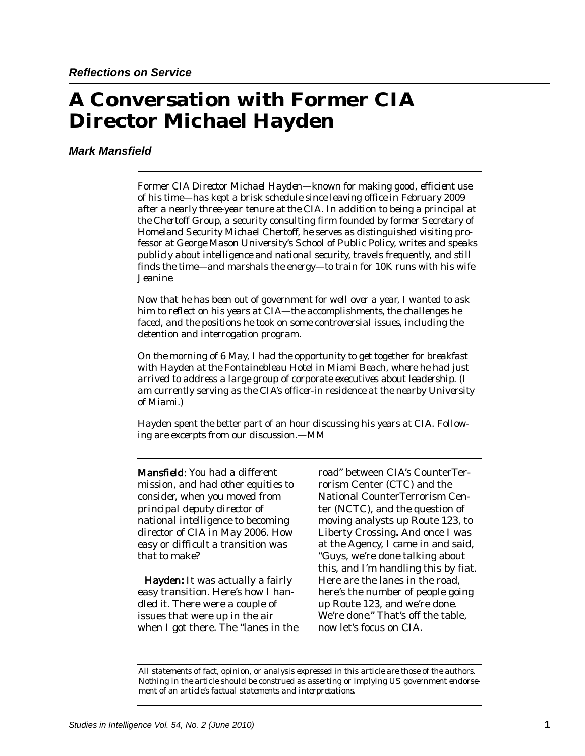# **A Conversation with Former CIA Director Michael Hayden**

# *Mark Mansfield*

*Former CIA Director Michael Hayden—known for making good, efficient use of his time—has kept a brisk schedule since leaving office in February 2009 after a nearly three-year tenure at the CIA. In addition to being a principal at the Chertoff Group, a security consulting firm founded by former Secretary of Homeland Security Michael Chertoff, he serves as distinguished visiting professor at George Mason University's School of Public Policy, writes and speaks publicly about intelligence and national security, travels frequently, and still finds the time—and marshals the energy—to train for 10K runs with his wife Jeanine.* 

*Now that he has been out of government for well over a year, I wanted to ask him to reflect on his years at CIA—the accomplishments, the challenges he faced, and the positions he took on some controversial issues, including the detention and interrogation program.* 

*On the morning of 6 May, I had the opportunity to get together for breakfast with Hayden at the Fontainebleau Hotel in Miami Beach, where he had just arrived to address a large group of corporate executives about leadership. (I am currently serving as the CIA's officer-in residence at the nearby University of Miami.)* 

*Hayden spent the better part of an hour discussing his years at CIA. Following are excerpts from our discussion.—MM* 

*Mansfield: You had a different mission, and had other equities to consider, when you moved from principal deputy director of national intelligence to becoming director of CIA in May 2006. How easy or difficult a transition was that to make?* 

Hayden**:** It was actually a fairly easy transition. Here's how I handled it. There were a couple of issues that were up in the air when I got there. The "lanes in the road" between CIA's CounterTerrorism Center (CTC) and the National CounterTerrorism Center (NCTC), and the question of moving analysts up Route 123, to Liberty Crossing**.** And once I was at the Agency, I came in and said, "Guys, we're done talking about this, and I'm handling this by fiat. Here are the lanes in the road, here's the number of people going up Route 123, and we're done. We're *done.*" That's off the table, now let's focus on CIA.

*All statements of fact, opinion, or analysis expressed in this article are those of the authors. Nothing in the article should be construed as asserting or implying US government endorsement of an article's factual statements and interpretations.*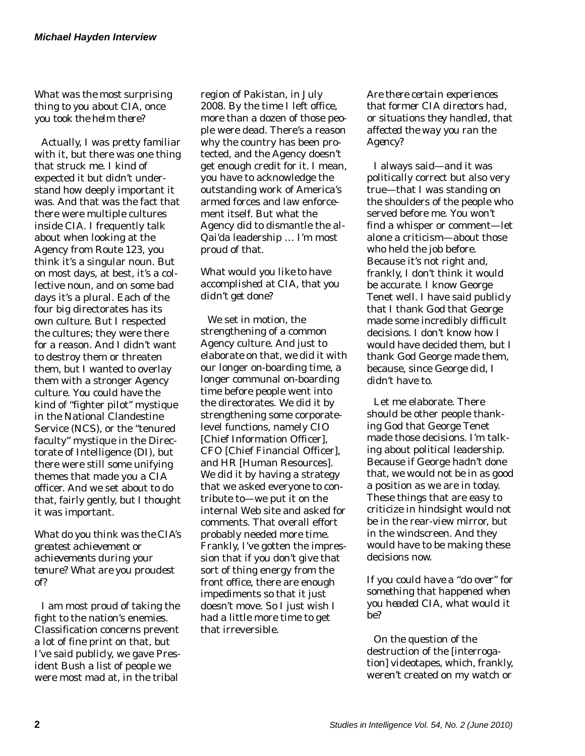*What was the most surprising thing to you about CIA, once you took the helm there?* 

Actually, I was pretty familiar with it, but there was one thing that struck me. I kind of expected it but didn't understand how deeply important it was. And that was the fact that there were multiple cultures inside CIA. I frequently talk about when looking at the Agency from Route 123, you think it's a singular noun. But on most days, at best, it's a collective noun, and on some bad days it's a plural. Each of the four big directorates has its own culture. But I respected the cultures; they were there for a reason. And I didn't want to destroy them or threaten them, but I wanted to overlay them with a stronger Agency culture. You could have the kind of "fighter pilot" mystique in the National Clandestine Service (NCS), or the "tenured faculty" mystique in the Directorate of Intelligence (DI), but there were still some unifying themes that made you a CIA officer. And we set about to do that, fairly gently, but I thought it was important.

*What do you think was the CIA's greatest achievement or achievements during your tenure? What are you proudest of?* 

I am most proud of taking the fight to the nation's enemies. Classification concerns prevent a lot of fine print on that, but I've said publicly, we gave President Bush a list of people we were most mad at, in the tribal

region of Pakistan, in July 2008. By the time I left office, more than a dozen of those people were dead. There's a reason why the country has been protected, and the Agency doesn't get enough credit for it. I mean, you have to acknowledge the outstanding work of America's armed forces and law enforcement itself. But what the Agency did to dismantle the al-Qai'da leadership … I'm most proud of that.

*What would you like to have accomplished at CIA, that you didn't get done?* 

We set in motion, the strengthening of a common Agency culture. And just to elaborate on that, we did it with our longer on-boarding time, a longer communal on-boarding time before people went into the directorates. We did it by strengthening some corporatelevel functions, namely CIO [Chief Information Officer], CFO [Chief Financial Officer], and HR [Human Resources]. We did it by having a strategy that we asked everyone to contribute to—we put it on the internal Web site and asked for comments. That overall effort probably needed more time. Frankly, I've gotten the impression that if you don't give that sort of thing energy from the front office, there are enough impediments so that it just doesn't move. So I just wish I had a little more time to get that irreversible.

*Are there certain experiences that former CIA directors had, or situations they handled, that affected the way you ran the Agency?* 

I always said—and it was politically correct but also very true—that I was standing on the shoulders of the people who served before me. You won't find a whisper or comment—let alone a criticism—about those who held the job before. Because it's not right and, frankly, I don't think it would be accurate. I know George Tenet well. I have said publicly that I thank God that George made some incredibly difficult decisions. I don't know how I would have decided them, but I thank God George made them, because, since George did, I didn't have to.

Let me elaborate. There should be other people thanking God that George Tenet made those decisions. I'm talking about political leadership. Because if George hadn't done that, we would not be in as good a position as we are in today. These things that are easy to criticize in hindsight would not be in the rear-view mirror, but in the windscreen. And they would have to be making these decisions now.

*If you could have a "do over" for something that happened when you headed CIA, what would it be?* 

On the question of the destruction of the [interrogation] videotapes, which, frankly, weren't created on my watch or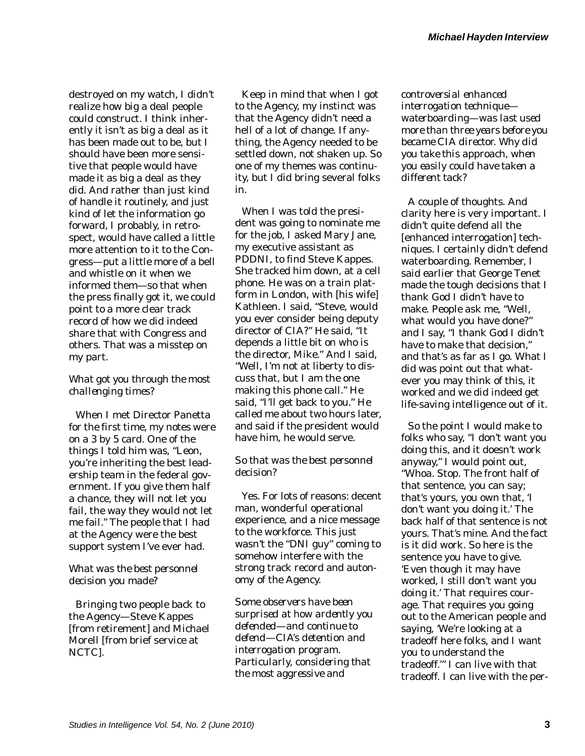destroyed on my watch, I didn't realize how big a deal people could construct. I think inherently it isn't as big a deal as it has been made out to be, but I should have been more sensitive that people would have made it as big a deal as they did. And rather than just kind of handle it routinely, and just kind of let the information go forward, I probably, in retrospect, would have called a little more attention to it to the Congress—put a little more of a bell and whistle on it when we informed them—so that when the press finally got it, we could point to a more clear track record of how we did indeed share that with Congress and others. That was a misstep on my part.

# *What got you through the most challenging times?*

When I met Director Panetta for the first time, my notes were on a 3 by 5 card. One of the things I told him was, "Leon, you're inheriting the best leadership team in the federal government. If you give them half a chance, they will not let you fail, the way they would not let me fail." The people that I had at the Agency were the best support system I've ever had.

## *What was the best personnel decision you made?*

Bringing two people back to the Agency—Steve Kappes [from retirement] and Michael Morell [from brief service at NCTC].

Keep in mind that when I got to the Agency, my instinct was that the Agency didn't need a hell of a lot of change. If anything, the Agency needed to be settled down, not shaken up. So one of my themes was continuity, but I did bring several folks in.

When I was told the president was going to nominate me for the job, I asked Mary Jane, my executive assistant as PDDNI, to find Steve Kappes. She tracked him down, at a cell phone. He was on a train platform in London, with [his wife] Kathleen. I said, "Steve, would you ever consider being deputy director of CIA?" He said, "It depends a little bit on who is the director, Mike." And I said, "Well, I'm not at liberty to discuss that, but I am the one making this phone call." He said, "I'll get back to you." He called me about two hours later, and said if the president would have him, he would serve.

## *So that was the best personnel decision?*

Yes. For lots of reasons: decent man, wonderful operational experience, and a nice message to the workforce. This just wasn't the "DNI guy" coming to somehow interfere with the strong track record and autonomy of the Agency.

*Some observers have been surprised at how ardently you defended—and continue to defend—CIA's detention and interrogation program. Particularly, considering that the most aggressive and* 

*controversial enhanced interrogation technique waterboarding—was last used more than three years before you became CIA director. Why did you take this approach, when you easily could have taken a different tack?* 

A couple of thoughts. And clarity here is very important. I didn't quite defend all the [enhanced interrogation] techniques. I certainly didn't defend waterboarding. Remember, I said earlier that George Tenet made the tough decisions that I thank God I didn't have to make. People ask me, "Well, what would you have done?" and I say, "I thank God I didn't have to make that decision," and that's as far as I go. What I did was point out that whatever you may think of this, it worked and we did indeed get life-saving intelligence out of it.

So the point I would make to folks who say, "I don't want you doing this, and it doesn't work anyway," I would point out, "Whoa. Stop. The front half of that sentence, you can say; that's yours, you own that, 'I don't want you doing it.' The back half of that sentence is not yours. That's mine. And the fact is it *did* work. So here is the sentence you have to give. 'Even though it may have worked, I still don't want you doing it.' That requires courage. That requires you going out to the American people and saying, 'We're looking at a tradeoff here folks, and I want you to understand the tradeoff.'" I can live with that tradeoff. I can live with the per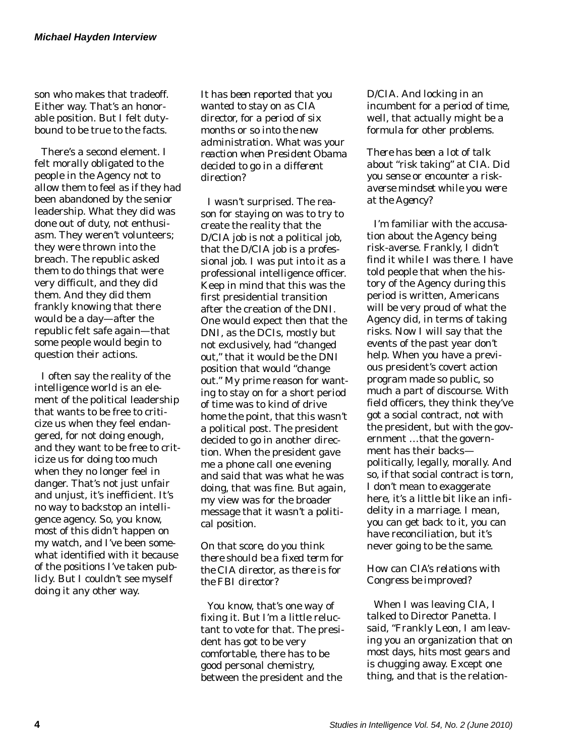son who makes that tradeoff. Either way. That's an honorable position. But I felt dutybound to be true to the facts.

There's a second element. I felt morally obligated to the people in the Agency not to allow them to feel as if they had been abandoned by the senior leadership. What they did was done out of duty, not enthusiasm. They weren't volunteers; they were thrown into the breach. The republic asked them to do things that were very difficult, and they did them. And they did them frankly knowing that there would be a day—after the republic felt safe again—that some people would begin to question their actions.

I often say the reality of the intelligence world is an element of the political leadership that wants to be free to criticize us when they feel endangered, for not doing enough, and they want to be free to criticize us for doing too much when they no longer feel in danger. That's not just unfair and unjust, it's inefficient. It's no way to backstop an intelligence agency. So, you know, most of this didn't happen on my watch, and I've been somewhat identified with it because of the positions I've taken publicly. But I couldn't see myself doing it any other way.

*It has been reported that you wanted to stay on as CIA director, for a period of six months or so into the new administration. What was your reaction when President Obama decided to go in a different direction?* 

I wasn't surprised. The reason for staying on was to try to create the reality that the D/CIA job is not a political job, that the D/CIA job is a professional job. I was put into it as a professional intelligence officer. Keep in mind that this was the first presidential transition after the creation of the DNI. One would expect then that the DNI, as the DCIs, mostly but not exclusively, had "changed out," that it would be the DNI position that would "change out." My prime reason for wanting to stay on for a short period of time was to kind of drive home the point, that this wasn't a political post. The president decided to go in another direction. When the president gave me a phone call one evening and said that was what he was doing, that was fine. But again, my view was for the broader message that it wasn't a political position.

*On that score, do you think there should be a fixed term for the CIA director, as there is for the FBI director?* 

You know, that's one way of fixing it. But I'm a little reluctant to vote for that. The president has got to be very comfortable, there has to be good personal chemistry, between the president and the

D/CIA. And locking in an incumbent for a period of time, well, that actually might be a formula for other problems.

*There has been a lot of talk about "risk taking" at CIA. Did you sense or encounter a riskaverse mindset while you were at the Agency?* 

I'm familiar with the accusation about the Agency being risk-averse. Frankly, I didn't find it while I was there. I have told people that when the history of the Agency during this period is written, Americans will be very proud of what the Agency did, in terms of taking risks. Now I will say that the events of the past year don't help. When you have a previous president's covert action program made so public, so much a part of discourse. With field officers, they think they've got a social contract, not with the president, but with the government …that the government has their backs politically, legally, morally. And so, if that social contract is torn, I don't mean to exaggerate here, it's a little bit like an infidelity in a marriage. I mean, you can get back to it, you can have reconciliation, but it's never going to be the same.

## *How can CIA's relations with Congress be improved?*

When I was leaving CIA, I talked to Director Panetta. I said, "Frankly Leon, I am leaving you an organization that on most days, hits most gears and is chugging away. Except one thing, and that is the relation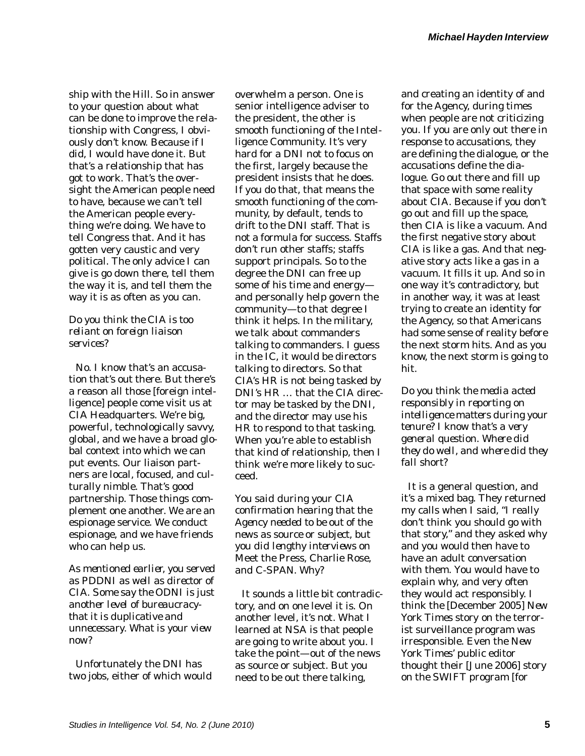ship with the Hill. So in answer to your question about what can be done to improve the relationship with Congress, I obviously don't know. Because if I did, I would have done it. But that's a relationship that has got to work. That's the oversight the American people need to have, because we can't tell the American people everything we're doing. We have to tell Congress that. And it has gotten very caustic and very political. The only advice I can give is go down there, tell them the way it is, and tell them the way it is as often as you can.

#### *Do you think the CIA is too reliant on foreign liaison services?*

No. I know that's an accusation that's out there. But there's a reason all those [foreign intelligence] people come visit us at CIA Headquarters. We're big, powerful, technologically savvy, global, and we have a broad global context into which we can put events. Our liaison partners are local, focused, and culturally nimble. That's good partnership. Those things complement one another. We are an espionage service. We conduct espionage, and we have friends who can help us.

*As mentioned earlier, you served as PDDNI as well as director of CIA. Some say the ODNI is just another level of bureaucracythat it is duplicative and unnecessary. What is your view now?* 

Unfortunately the DNI has two jobs, either of which would

overwhelm a person. One is senior intelligence adviser to the president, the other is smooth functioning of the Intelligence Community. It's very hard for a DNI not to focus on the first, largely because the president insists that he does. If you do that, that means the smooth functioning of the community, by default, tends to drift to the DNI staff. That is not a formula for success. Staffs don't run other staffs; staffs support principals. So to the degree the DNI can free up some of his time and energy and personally help govern the community—to that degree I think it helps. In the military, we talk about commanders talking to commanders. I guess in the IC, it would be directors talking to directors. So that CIA's HR is not being tasked by DNI's HR … that the CIA director may be tasked by the DNI, and the director may use his HR to respond to that tasking. When you're able to establish that kind of relationship, then I think we're more likely to succeed.

*You said during your CIA confirmation hearing that the Agency needed to be out of the news as source or subject, but you did lengthy interviews on*  Meet the Press*,* Charlie Rose*, and C-SPAN. Why?* 

It sounds a little bit contradictory, and on one level it is. On another level, it's not. What I learned at NSA is that people are going to write about you. I take the point—out of the news as source or subject. But you need to be out there talking,

and creating an identity of and for the Agency, during times when people are not criticizing you. If you are only out there in response to accusations, they are defining the dialogue, or the accusations define the dialogue. Go out there and fill up that space with some reality about CIA. Because if you don't go out and fill up the space, then CIA is like a vacuum. And the first negative story about CIA is like a gas. And that negative story acts like a gas in a vacuum. It fills it up. And so in one way it's contradictory, but in another way, it was at least trying to create an identity for the Agency, so that Americans had some sense of reality before the next storm hits. And as you know, the next storm is going to hit.

*Do you think the media acted responsibly in reporting on intelligence matters during your tenure? I know that's a very general question. Where did they do well, and where did they fall short?* 

It is a general question, and it's a mixed bag. They returned my calls when I said, "I really don't think you should go with that story," and they asked why and you would then have to have an adult conversation with them. You would have to explain why, and very often they would act responsibly. I think the [December 2005] *New York Times* story on the terrorist surveillance program was irresponsible. Even the *New York Times*' public editor thought their [June 2006] story on the SWIFT program [for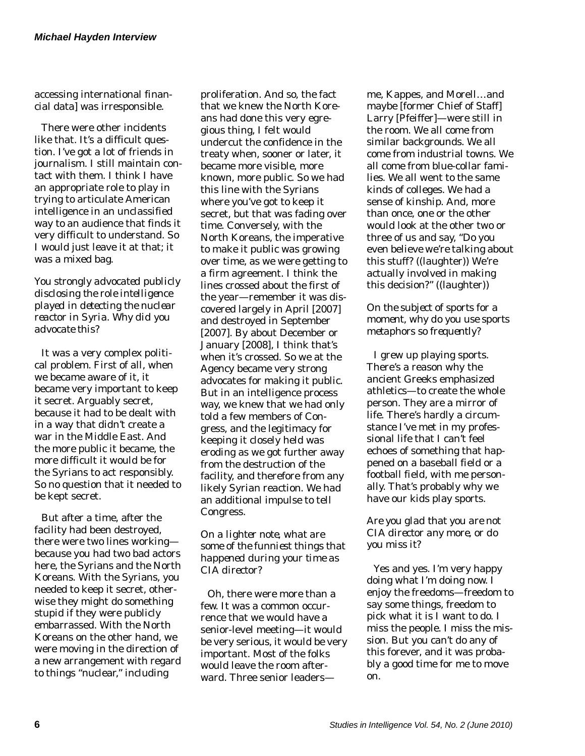accessing international financial data] was irresponsible.

There were other incidents like that. It's a difficult question. I've got a lot of friends in journalism. I still maintain contact with them. I think I have an appropriate role to play in trying to articulate American intelligence in an unclassified way to an audience that finds it very difficult to understand. So I would just leave it at that; it was a mixed bag.

*You strongly advocated publicly disclosing the role intelligence played in detecting the nuclear reactor in Syria. Why did you advocate this?* 

It was a very complex political problem. First of all, when we became aware of it, it became very important to keep it secret. Arguably secret, because it had to be dealt with in a way that didn't create a war in the Middle East. And the more public it became, the more difficult it would be for the Syrians to act responsibly. So no question that it needed to be kept secret.

But after a time, after the facility had been destroyed, there were two lines working because you had two bad actors here, the Syrians and the North Koreans. With the Syrians, you needed to keep it secret, otherwise they might do something stupid if they were publicly embarrassed. With the North Koreans on the other hand, we were moving in the direction of a new arrangement with regard to things "nuclear," including

proliferation. And so, the fact that we knew the North Koreans had done this very egregious thing, I felt would undercut the confidence in the treaty when, sooner or later, it became more visible, more known, more public. So we had this line with the Syrians where you've got to keep it secret, but that was fading over time. Conversely, with the North Koreans, the imperative to make it public was growing over time, as we were getting to a firm agreement. I think the lines crossed about the first of the year—remember it was discovered largely in April [2007] and destroyed in September [2007]. By about December or January [2008], I think that's when it's crossed. So we at the Agency became very strong advocates for making it public. But in an intelligence process way, we knew that we had only told a few members of Congress, and the legitimacy for keeping it closely held was eroding as we got further away from the destruction of the facility, and therefore from any likely Syrian reaction. We had an additional impulse to tell Congress.

*On a lighter note, what are some of the funniest things that happened during your time as CIA director?* 

Oh, there were more than a few. It was a common occurrence that we would have a senior-level meeting—it would be very serious, it would be very important. Most of the folks would leave the room afterward. Three senior leadersme, Kappes, and Morell…and maybe [former Chief of Staff] Larry [Pfeiffer]—were still in the room. We all come from similar backgrounds. We all come from industrial towns. We all come from blue-collar families. We all went to the same kinds of colleges. We had a sense of kinship. And, more than once, one or the other would look at the other two or three of us and say, "Do you even believe we're talking about this stuff? ((laughter)) We're actually involved in making this decision?" ((laughter))

#### *On the subject of sports for a moment, why do you use sports metaphors so frequently?*

I grew up playing sports. There's a reason why the ancient Greeks emphasized athletics—to create the whole person. They are a mirror of life. There's hardly a circumstance I've met in my professional life that I can't feel echoes of something that happened on a baseball field or a football field, with me personally. That's probably why we have our kids play sports.

#### *Are you glad that you are not CIA director any more, or do you miss it?*

Yes and yes. I'm very happy doing what I'm doing now. I enjoy the freedoms—freedom to say some things, freedom to pick what it is I want to do. I miss the people. I miss the mission. But you can't do any of this forever, and it was probably a good time for me to move on.